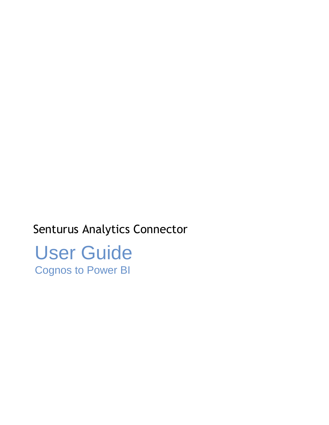# Senturus Analytics Connector

User Guide Cognos to Power BI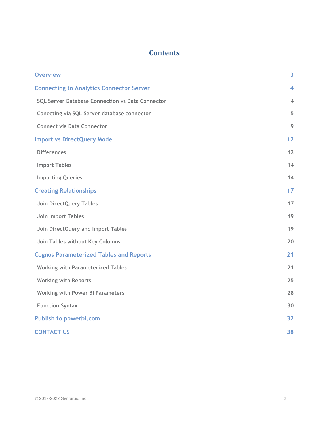## **Contents**

| <b>Overview</b>                                  | 3                        |
|--------------------------------------------------|--------------------------|
| <b>Connecting to Analytics Connector Server</b>  | 4                        |
| SQL Server Database Connection vs Data Connector | $\overline{\mathcal{A}}$ |
| Conecting via SQL Server database connector      | 5                        |
| <b>Connect via Data Connector</b>                | 9                        |
| <b>Import vs DirectQuery Mode</b>                | 12                       |
| <b>Differences</b>                               | 12                       |
| <b>Import Tables</b>                             | 14                       |
| <b>Importing Queries</b>                         | 14                       |
| <b>Creating Relationships</b>                    | 17                       |
| <b>Join DirectQuery Tables</b>                   | 17                       |
| Join Import Tables                               | 19                       |
| Join DirectQuery and Import Tables               | 19                       |
| Join Tables without Key Columns                  | 20                       |
| <b>Cognos Parameterized Tables and Reports</b>   | 21                       |
| <b>Working with Parameterized Tables</b>         | 21                       |
| <b>Working with Reports</b>                      | 25                       |
| <b>Working with Power BI Parameters</b>          | 28                       |
| <b>Function Syntax</b>                           | 30                       |
| <b>Publish to powerbi.com</b>                    | 32                       |
| <b>CONTACT US</b>                                | 38                       |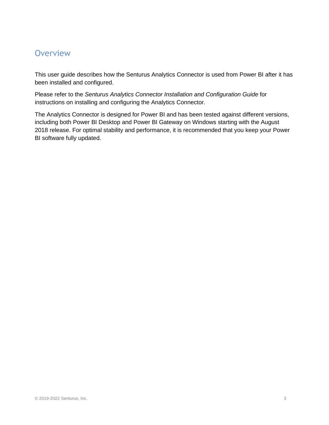## <span id="page-2-0"></span>**Overview**

This user guide describes how the Senturus Analytics Connector is used from Power BI after it has been installed and configured.

Please refer to the *Senturus Analytics Connector Installation and Configuration Guide* for instructions on installing and configuring the Analytics Connector.

The Analytics Connector is designed for Power BI and has been tested against different versions, including both Power BI Desktop and Power BI Gateway on Windows starting with the August 2018 release. For optimal stability and performance, it is recommended that you keep your Power BI software fully updated.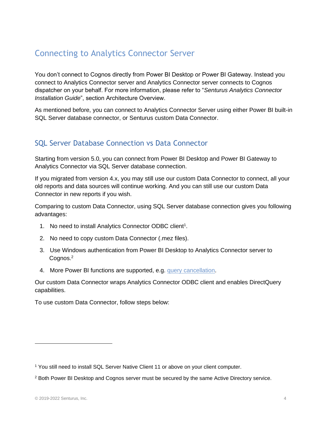## <span id="page-3-0"></span>Connecting to Analytics Connector Server

You don't connect to Cognos directly from Power BI Desktop or Power BI Gateway. Instead you connect to Analytics Connector server and Analytics Connector server connects to Cognos dispatcher on your behalf. For more information, please refer to "*Senturus Analytics Connector Installation Guide*", section Architecture Overview.

As mentioned before, you can connect to Analytics Connector Server using either Power BI built-in SQL Server database connector, or Senturus custom Data Connector.

## <span id="page-3-1"></span>SQL Server Database Connection vs Data Connector

Starting from version 5.0, you can connect from Power BI Desktop and Power BI Gateway to Analytics Connector via SQL Server database connection.

If you migrated from version 4.x, you may still use our custom Data Connector to connect, all your old reports and data sources will continue working. And you can still use our custom Data Connector in new reports if you wish.

Comparing to custom Data Connector, using SQL Server database connection gives you following advantages:

- 1. No need to install Analytics Connector ODBC client<sup>1</sup>.
- 2. No need to copy custom Data Connector (.mez files).
- 3. Use Windows authentication from Power BI Desktop to Analytics Connector server to Cognos.<sup>2</sup>
- 4. More Power BI functions are supported, e.g. [query cancellation.](https://powerbi.microsoft.com/en-us/blog/tag/query-cancellation/)

Our custom Data Connector wraps Analytics Connector ODBC client and enables DirectQuery capabilities.

To use custom Data Connector, follow steps below:

<sup>1</sup> You still need to install SQL Server Native Client 11 or above on your client computer.

<sup>2</sup> Both Power BI Desktop and Cognos server must be secured by the same Active Directory service.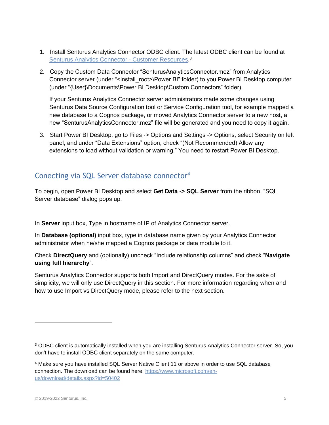- 1. Install Senturus Analytics Connector ODBC client. The latest ODBC client can be found at [Senturus Analytics Connector -](https://www.senturus.net/connector-download/) Customer Resources.<sup>3</sup>
- 2. Copy the Custom Data Connector "SenturusAnalyticsConnector.mez" from Analytics Connector server (under "<install\_root>\Power BI" folder) to you Power BI Desktop computer (under "{User}\Documents\Power BI Desktop\Custom Connectors" folder).

If your Senturus Analytics Connector server administrators made some changes using Senturus Data Source Configuration tool or Service Configuration tool, for example mapped a new database to a Cognos package, or moved Analytics Connector server to a new host, a new "SenturusAnalyticsConnector.mez" file will be generated and you need to copy it again.

3. Start Power BI Desktop, go to Files -> Options and Settings -> Options, select Security on left panel, and under "Data Extensions" option, check "(Not Recommended) Allow any extensions to load without validation or warning." You need to restart Power BI Desktop.

## <span id="page-4-0"></span>Conecting via SQL Server database connector<sup>4</sup>

To begin, open Power BI Desktop and select **Get Data -> SQL Server** from the ribbon. "SQL Server database" dialog pops up.

In **Server** input box, Type in hostname of IP of Analytics Connector server.

In **Database (optional)** input box, type in database name given by your Analytics Connector administrator when he/she mapped a Cognos package or data module to it.

Check **DirectQuery** and (optionally) uncheck "Include relationship columns" and check "**Navigate using full hierarchy**".

Senturus Analytics Connector supports both Import and DirectQuery modes. For the sake of simplicity, we will only use DirectQuery in this section. For more information regarding when and how to use Import vs DirectQuery mode, please refer to the next section.

<sup>&</sup>lt;sup>3</sup> ODBC client is automatically installed when you are installing Senturus Analytics Connector server. So, you don't have to install ODBC client separately on the same computer.

<sup>4</sup> Make sure you have installed SQL Server Native Client 11 or above in order to use SQL database connection. The download can be found here: [https://www.microsoft.com/en](https://www.microsoft.com/en-us/download/details.aspx?id=50402)[us/download/details.aspx?id=50402](https://www.microsoft.com/en-us/download/details.aspx?id=50402)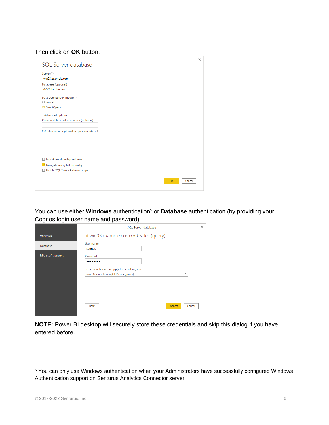#### Then click on **OK** button.

| SQL Server database                         |  |    |        |
|---------------------------------------------|--|----|--------|
|                                             |  |    |        |
| Server (i)                                  |  |    |        |
| win03.example.com                           |  |    |        |
| Database (optional)                         |  |    |        |
| GO Sales (query)                            |  |    |        |
| Data Connectivity mode (i)                  |  |    |        |
| O Import                                    |  |    |        |
| <sup>O</sup> DirectQuery                    |  |    |        |
| ▲ Advanced options                          |  |    |        |
| Command timeout in minutes (optional)       |  |    |        |
|                                             |  |    |        |
| SQL statement (optional, requires database) |  |    |        |
|                                             |  |    |        |
|                                             |  |    |        |
|                                             |  |    |        |
|                                             |  |    |        |
|                                             |  |    |        |
| $\Box$ Include relationship columns         |  |    |        |
| V Navigate using full hierarchy             |  |    |        |
| Enable SQL Server Failover support          |  |    |        |
|                                             |  |    |        |
|                                             |  | OK | Cancel |
|                                             |  |    |        |

You can use either **Windows** authentication<sup>5</sup> or **Database** authentication (by providing your Cognos login user name and password).

|                   | SQL Server database                                                                                                              | $\times$ |
|-------------------|----------------------------------------------------------------------------------------------------------------------------------|----------|
| <b>Windows</b>    | i win03.example.com;GO Sales (query)                                                                                             |          |
| Database          | User name<br>cognos                                                                                                              |          |
| Microsoft account | Password<br><br>Select which level to apply these settings to<br>win03.example.com;GO Sales (query)<br>Connect<br>Back<br>Cancel |          |

**NOTE:** Power BI desktop will securely store these credentials and skip this dialog if you have entered before.

<sup>5</sup> You can only use Windows authentication when your Administrators have successfully configured Windows Authentication support on Senturus Analytics Connector server.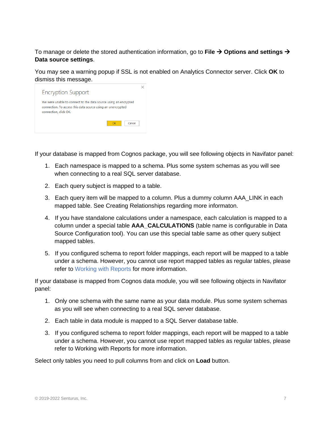To manage or delete the stored authentication information, go to **File** → **Options and settings** → **Data source settings**.

You may see a warning popup if SSL is not enabled on Analytics Connector server. Click **OK** to dismiss this message.



If your database is mapped from Cognos package, you will see following objects in Navifator panel:

- 1. Each namespace is mapped to a schema. Plus some system schemas as you will see when connecting to a real SQL server database.
- 2. Each query subject is mapped to a table.
- 3. Each query item will be mapped to a column. Plus a dummy column AAA\_LINK in each mapped table. See [Creating Relationships](#page-16-0) regarding more informaton.
- 4. If you have standalone calculations under a namespace, each calculation is mapped to a column under a special table **AAA\_CALCULATIONS** (table name is configurable in Data Source Configuration tool). You can use this special table same as other query subject mapped tables.
- 5. If you configured schema to report folder mappings, each report will be mapped to a table under a schema. However, you cannot use report mapped tables as regular tables, please refer to [Working with Reports](#page-24-0) for more information.

If your database is mapped from Cognos data module, you will see following objects in Navifator panel:

- 1. Only one schema with the same name as your data module. Plus some system schemas as you will see when connecting to a real SQL server database.
- 2. Each table in data module is mapped to a SQL Server database table.
- 3. If you configured schema to report folder mappings, each report will be mapped to a table under a schema. However, you cannot use report mapped tables as regular tables, please refer to Working with Reports for more information.

Select only tables you need to pull columns from and click on **Load** button.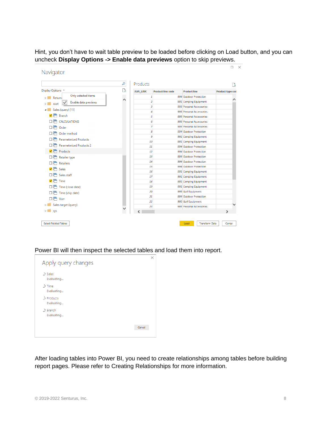Hint, you don't have to wait table preview to be loaded before clicking on Load button, and you can uncheck **Display Options -> Enable data previews** option to skip previews.

|                                       | م  | Products        |                          |                                                 | à                |
|---------------------------------------|----|-----------------|--------------------------|-------------------------------------------------|------------------|
| Display Options *                     | r. | <b>AAA LINK</b> | <b>Product line code</b> | <b>Product line</b>                             | Product type cod |
| Only selected items<br><b>Return</b>  |    | 1               |                          | 994 Outdoor Protection                          |                  |
| Enable data previews<br>root          | ∧  | 2               |                          | 991 Camping Equipment                           |                  |
| Sales (query) [15]                    |    | з               |                          | 993 Personal Accessories                        |                  |
| $\sqrt{5}$ Branch                     |    | 4               |                          | 993 Personal Accessories                        |                  |
|                                       |    | 5               |                          | 993 Personal Accessories                        |                  |
| $\Box$ $\Box$ CALCULATIONS            |    | 6               |                          | 993 Personal Accessories                        |                  |
| 口后<br>Order                           |    | 7               |                          | 993 Personal Accessories                        |                  |
| 口后<br>Order method                    |    | 8<br>9          |                          | 994 Outdoor Protection<br>991 Camping Equipment |                  |
| <b>Parameterized Products</b><br>口后   |    | 10              |                          | 991 Camping Equipment                           |                  |
| <b>Parameterized Products 2</b><br>口后 |    | 11              |                          | 994 Outdoor Protection                          |                  |
| ▿╒<br>Products                        |    | 12              |                          | 994 Outdoor Protection                          |                  |
| оē<br>Retailer type                   |    | 13              |                          | 994 Outdoor Protection                          |                  |
| $\Box \Box$ Retailers                 |    | 14              |                          | 994 Outdoor Protection                          |                  |
| $\sqrt{5}$ Sales                      |    | 15              |                          | 994 Outdoor Protection                          |                  |
|                                       |    | 16              |                          | 991 Camping Equipment                           |                  |
| ПĒ<br>Sales staff                     |    | 17              |                          | 991 Camping Equipment                           |                  |
| $\sqrt{ }$ Time                       |    | 18              |                          | 991 Camping Equipment                           |                  |
| $\Box \Box$ Time (close date)         |    | 19              |                          | 991 Camping Equipment                           |                  |
| $\Box \Box$ Time (ship date)          |    | 20              |                          | 995 Golf Equipment                              |                  |
| 口后 User                               |    | 21              |                          | 994 Outdoor Protection                          |                  |
| Sales target (query)                  |    | 22<br>23        |                          | 995 Golf Equipment<br>993 Personal Accessories  |                  |
| sys                                   |    |                 |                          |                                                 | $\mathbf{v}$     |

Power BI will then inspect the selected tables and load them into report.



After loading tables into Power BI, you need to create relationships among tables before building report pages. Please refer to [Creating Relationships](#page-16-0) for more information.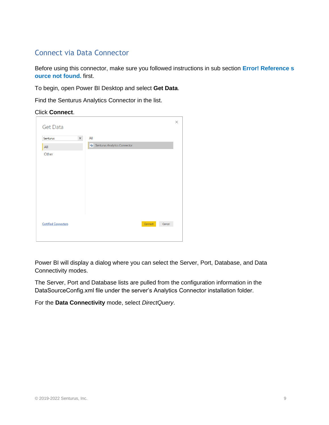## <span id="page-8-0"></span>Connect via Data Connector

Before using this connector, make sure you followed instructions in sub section **Error! Reference s ource not found.** first.

To begin, open Power BI Desktop and select **Get Data**.

Find the Senturus Analytics Connector in the list.

#### Click **Connect**.

| <b>Get Data</b>             |                              | $\times$ |
|-----------------------------|------------------------------|----------|
| $\times$<br>Senturus        | All                          |          |
| All                         | Senturus Analytics Connector |          |
| Other                       |                              |          |
| <b>Certified Connectors</b> | Connect<br>Cancel            |          |
|                             |                              |          |

Power BI will display a dialog where you can select the Server, Port, Database, and Data Connectivity modes.

The Server, Port and Database lists are pulled from the configuration information in the DataSourceConfig.xml file under the server's Analytics Connector installation folder.

For the **Data Connectivity** mode, select *DirectQuery*.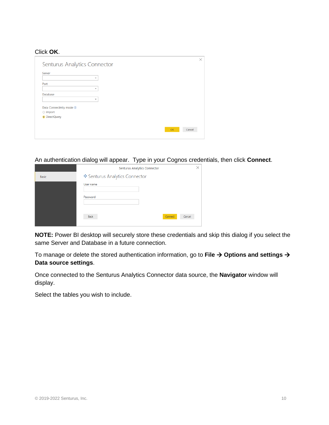#### Click **OK**.

| Senturus Analytics Connector |    |        |
|------------------------------|----|--------|
| Server                       |    |        |
| $\;$                         |    |        |
| Port                         |    |        |
| $\overline{\phantom{a}}$     |    |        |
| <b>Database</b>              |    |        |
| ٠                            |    |        |
| Data Connectivity mode (i)   |    |        |
| O Import                     |    |        |
| <b>O</b> DirectQuery         |    |        |
|                              |    |        |
|                              | OK | Cancel |
|                              |    |        |

An authentication dialog will appear. Type in your Cognos credentials, then click **Connect**.

|              | Senturus Analytics Connector     |  |
|--------------|----------------------------------|--|
| <b>Basic</b> | ♦ Senturus Analytics Connector   |  |
|              | User name                        |  |
|              | Password                         |  |
|              | Connect<br><b>Back</b><br>Cancel |  |

**NOTE:** Power BI desktop will securely store these credentials and skip this dialog if you select the same Server and Database in a future connection.

To manage or delete the stored authentication information, go to **File** → **Options and settings** → **Data source settings**.

Once connected to the Senturus Analytics Connector data source, the **Navigator** window will display.

Select the tables you wish to include.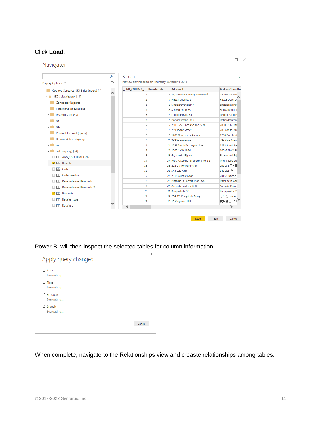#### Click **Load**.

|                                                         | م | <b>Branch</b>                                   |                  |                                                         | r                               |
|---------------------------------------------------------|---|-------------------------------------------------|------------------|---------------------------------------------------------|---------------------------------|
| Display Options *                                       | B | Preview downloaded on Thursday, October 4, 2018 |                  |                                                         |                                 |
| Cognos_Senturus: GO Sales (query) [1]<br>$\overline{a}$ |   | LINK COLUMN                                     | <b>Address 1</b> | <b>Address 1 (multis</b>                                |                                 |
| GO Sales (query) [11]<br>4                              | ∧ | 1                                               |                  | 6 75, rue du Faubourg St-Honoré                         | 75, rue du Fau                  |
| <b>Connector Reports</b>                                |   | $\overline{2}$                                  |                  | 7 Piazza Duomo, 1                                       | Piazza Duomo                    |
|                                                         |   | 3                                               |                  | 9 Singelgravenplein 4                                   | Singelgravenp                   |
| <b>Filters and calculations</b>                         |   | 4                                               |                  | 13 Schwabentor 35                                       | Schwabentor                     |
| Inventory (query)                                       |   | 5                                               |                  | 14 Leopoldstraße 36                                     | Leopoldstraße                   |
| ns1                                                     |   | 6                                               |                  | 15 Isafjordsgatan 30 C                                  | Isafjordsgatan                  |
| ns <sub>2</sub>                                         |   | 7                                               |                  | 17 7800, 756 - 6th Avenue, S.W.                         | 7800, 756 - 6tl                 |
| Product forecast (query)                                |   | 8                                               |                  | 18 789 Yonge Street                                     | 789 Yonge Stri                  |
| Returned items (query)                                  |   | 9                                               |                  | 19 1288 Dorchester Avenue                               | 1288 Dorchest                   |
|                                                         |   | 10                                              |                  | 20 299 Yale Avenue                                      | 299 Yale Aven                   |
| root                                                    |   | 11                                              |                  | 21 1288 South Barrington Ave.                           | 1288 South Ba                   |
| Sales (query) [14]                                      |   | 12                                              |                  | 22 10032 NW 186th                                       | 10032 NW 186                    |
| <b>EE AAA CALCULATIONS</b>                              |   | 13                                              |                  | 23 6c, rue de l'Église                                  | 6c, rue de l'Égl                |
| <b>FREE</b><br><b>Branch</b><br>$\checkmark$            |   | 14                                              |                  | 24 Prol. Paseo de la Reforma No. 51                     | Prol. Paseo de                  |
| Order<br>m                                              |   | 15                                              |                  | 25 202-2-3 Hyakunincho                                  | 202-2-3百人田                      |
| Order method<br>Ħ                                       |   | 16<br>17                                        |                  | 26 543-225 Asahi                                        | 543-225 旭                       |
|                                                         |   | 18                                              |                  | 28 2315 Queen's Ave<br>29 Plaza de la Constitución, s/n | 2315 Queen's<br>Plaza de la Cor |
| <b>Parameterized Products</b><br>m                      |   | 19                                              |                  | 30 Avenida Paulista, 333                                | <b>Avenida Paulis</b>           |
| <b>Parameterized Products 2</b><br>⊞                    |   | 20                                              |                  | 31 Kauppakatu 33                                        | Kauppakatu 3:                   |
| Products<br>$\checkmark$<br>m                           |   | 21                                              |                  | 32 234-12, Kongdeok-Dong                                | 공덕동 234-12                      |
| Retailer type<br>m                                      |   | 22                                              |                  | 33 10 Claymore Hill                                     | 克莱莫山 10                         |
| <b>Retailers</b><br>m                                   |   |                                                 |                  |                                                         | $\rightarrow$                   |

### Power BI will then inspect the selected tables for column information.

| Apply query changes              |        |
|----------------------------------|--------|
| $\therefore$ Sales<br>Evaluating |        |
| $\therefore$ Time<br>Evaluating  |        |
| Products<br>Evaluating           |        |
| . Branch<br>Evaluating           |        |
|                                  | Cancel |

When complete, navigate to the Relationships view and creaste relationships among tables.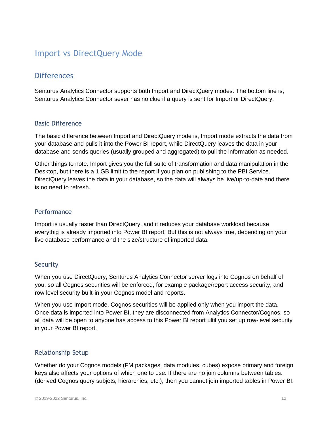## <span id="page-11-0"></span>Import vs DirectQuery Mode

## <span id="page-11-1"></span>**Differences**

Senturus Analytics Connector supports both Import and DirectQuery modes. The bottom line is, Senturus Analytics Connector sever has no clue if a query is sent for Import or DirectQuery.

### Basic Difference

The basic difference between Import and DirectQuery mode is, Import mode extracts the data from your database and pulls it into the Power BI report, while DirectQuery leaves the data in your database and sends queries (usually grouped and aggregated) to pull the information as needed.

Other things to note. Import gives you the full suite of transformation and data manipulation in the Desktop, but there is a 1 GB limit to the report if you plan on publishing to the PBI Service. DirectQuery leaves the data in your database, so the data will always be live/up-to-date and there is no need to refresh.

### **Performance**

Import is usually faster than DirectQuery, and it reduces your database workload because everythig is already imported into Power BI report. But this is not always true, depending on your live database performance and the size/structure of imported data.

#### Security

When you use DirectQuery, Senturus Analytics Connector server logs into Cognos on behalf of you, so all Cognos securities will be enforced, for example package/report access security, and row level security built-in your Cognos model and reports.

When you use Import mode, Cognos securities will be applied only when you import the data. Once data is imported into Power BI, they are disconnected from Analytics Connector/Cognos, so all data will be open to anyone has access to this Power BI report ultil you set up row-level security in your Power BI report.

### Relationship Setup

Whether do your Cognos models (FM packages, data modules, cubes) expose primary and foreign keys also affects your options of which one to use. If there are no join columns between tables. (derived Cognos query subjets, hierarchies, etc.), then you cannot join imported tables in Power BI.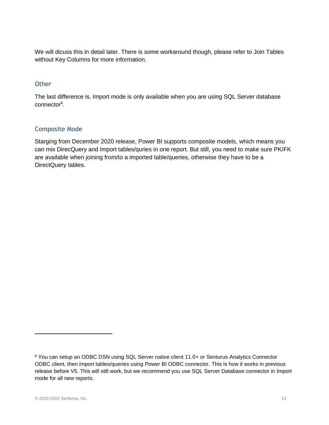We will dicuss this in detail later. There is some workaround though, please refer to [Join Tables](#page-19-0) without [Key Columns](#page-19-0) for more information.

### **Other**

The last difference is, Import mode is only available when you are using SQL Server database connector<sup>6</sup>.

#### Composite Mode

Starging from December 2020 release, Power BI supports composite models, which means you can mix DirecQuery and Import tables/quries in one report. But still, you need to make sure PK/FK are available when joining from/to a imported table/queries, otherwise they have to be a DirectQuery tables.

<sup>6</sup> You can setup an ODBC DSN using SQL Server native client 11.0+ or Senturus Analytics Connector ODBC client, then import tables/queries using Power BI ODBC connector. This is how it works in previous release before V5. This will still work, but we recommend you use SQL Server Database connector in Import mode for all new reports.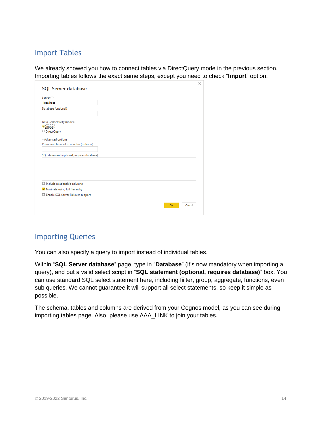## <span id="page-13-0"></span>Import Tables

We already showed you how to connect tables via DirectQuery mode in the previous section. Importing tables follows the exact same steps, except you need to check "**Import**" option.

| Server (i)<br>localhost<br>Database (optional)<br>Data Connectivity mode (i)<br>$\bullet$ Import<br>O DirectQuery<br>▲ Advanced options<br>Command timeout in minutes (optional)<br>SQL statement (optional, requires database)<br>$\Box$ Include relationship columns<br>V Navigate using full hierarchy<br>Enable SQL Server Failover support<br>OK<br>Cancel |                            |  |  |  |
|-----------------------------------------------------------------------------------------------------------------------------------------------------------------------------------------------------------------------------------------------------------------------------------------------------------------------------------------------------------------|----------------------------|--|--|--|
|                                                                                                                                                                                                                                                                                                                                                                 | <b>SQL Server database</b> |  |  |  |
|                                                                                                                                                                                                                                                                                                                                                                 |                            |  |  |  |
|                                                                                                                                                                                                                                                                                                                                                                 |                            |  |  |  |
|                                                                                                                                                                                                                                                                                                                                                                 |                            |  |  |  |
|                                                                                                                                                                                                                                                                                                                                                                 |                            |  |  |  |
|                                                                                                                                                                                                                                                                                                                                                                 |                            |  |  |  |
|                                                                                                                                                                                                                                                                                                                                                                 |                            |  |  |  |
|                                                                                                                                                                                                                                                                                                                                                                 |                            |  |  |  |
|                                                                                                                                                                                                                                                                                                                                                                 |                            |  |  |  |
|                                                                                                                                                                                                                                                                                                                                                                 |                            |  |  |  |
|                                                                                                                                                                                                                                                                                                                                                                 |                            |  |  |  |
|                                                                                                                                                                                                                                                                                                                                                                 |                            |  |  |  |
|                                                                                                                                                                                                                                                                                                                                                                 |                            |  |  |  |
|                                                                                                                                                                                                                                                                                                                                                                 |                            |  |  |  |
|                                                                                                                                                                                                                                                                                                                                                                 |                            |  |  |  |
|                                                                                                                                                                                                                                                                                                                                                                 |                            |  |  |  |
|                                                                                                                                                                                                                                                                                                                                                                 |                            |  |  |  |
|                                                                                                                                                                                                                                                                                                                                                                 |                            |  |  |  |
|                                                                                                                                                                                                                                                                                                                                                                 |                            |  |  |  |
|                                                                                                                                                                                                                                                                                                                                                                 |                            |  |  |  |
|                                                                                                                                                                                                                                                                                                                                                                 |                            |  |  |  |

## <span id="page-13-1"></span>Importing Queries

You can also specify a query to import instead of individual tables.

Within "**SQL Server database**" page, type in "**Database**" (it's now mandatory when importing a query), and put a valid select script in "**SQL statement (optional, requires database)**" box. You can use standard SQL select statement here, including fiilter, group, aggregate, functions, even sub queries. We cannot guarantee it will support all select statements, so keep it simple as possible.

The schema, tables and columns are derived from your Cognos model, as you can see during importing tables page. Also, please use AAA\_LINK to join your tables.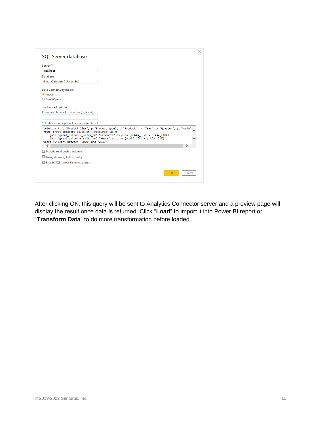| <b>SQL Server database</b>                                                                       | ×                                                                                                                                                                                                                                                             |
|--------------------------------------------------------------------------------------------------|---------------------------------------------------------------------------------------------------------------------------------------------------------------------------------------------------------------------------------------------------------------|
| Server (i)                                                                                       |                                                                                                                                                                                                                                                               |
| localhost                                                                                        |                                                                                                                                                                                                                                                               |
| Database                                                                                         |                                                                                                                                                                                                                                                               |
| Great Outdoors Sales (cube)                                                                      |                                                                                                                                                                                                                                                               |
| Data Connectivity mode (i)                                                                       |                                                                                                                                                                                                                                                               |
| O Import                                                                                         |                                                                                                                                                                                                                                                               |
| O DirectQuery                                                                                    |                                                                                                                                                                                                                                                               |
| Advanced options                                                                                 |                                                                                                                                                                                                                                                               |
| Command timeout in minutes (optional)                                                            |                                                                                                                                                                                                                                                               |
|                                                                                                  |                                                                                                                                                                                                                                                               |
| SQL statement (optional, requires database)                                                      |                                                                                                                                                                                                                                                               |
| from "great outdoors sales en". "Measures" as m<br>where y."Year" between '2010' and '2013'<br>⋖ | select m.*, p."Product line", p."Product type", p."Product", y."Year", y."Ouarter", y."Month"<br>join "great outdoors_sales_en"."Products" as p on (m.AAA_LINK = p.AAA_LINK)<br>join "great_outdoors_sales_en"."Years" as y on (m.AAA_LINK = y.AAA_LINK)<br>⋗ |
| $\Box$ Include relationship columns                                                              |                                                                                                                                                                                                                                                               |
| $\Box$ Navigate using full hierarchy                                                             |                                                                                                                                                                                                                                                               |
| Enable SQL Server Failover support                                                               |                                                                                                                                                                                                                                                               |
|                                                                                                  | Cancel<br>OK                                                                                                                                                                                                                                                  |

After clicking OK, this query will be sent to Analytics Connector server and a preview page will display the result once data is returned. Click "**Load**" to import it into Power BI report or "**Transform Data**" to do more transformation before loaded.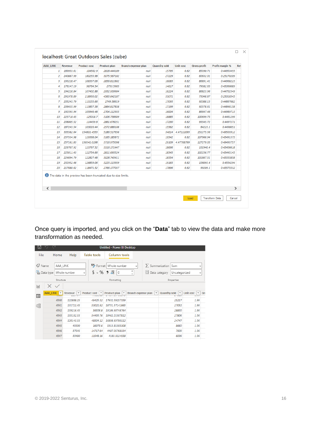|                | <b>Revenue</b> | <b>Product cost</b> | <b>Product plan</b> | <b>Branch expense plan</b> | <b>Quantity sold</b> | <b>Unit cost</b> | <b>Gross profit</b> | <b>Profit margin %</b> | Rev |
|----------------|----------------|---------------------|---------------------|----------------------------|----------------------|------------------|---------------------|------------------------|-----|
| 1              | 189953.61      | 104562.9            | 2818.444189         | null                       | 15795                | 6.62             | 85390.71            | 0.44953455             |     |
| $\overline{2}$ | 240887.99      | 180255.98           | 3075.567182         | null                       | 27229                | 6.62             | 60632.01            | 0.25170209             |     |
| 3              | 193228.47      | 106337.06           | 2856.811802         | null                       | 16063                | 6.62             | 86891.41            | 0.44968223             |     |
| 4              | 176147.19      | 96764.54            | 2733.5905           | null                       | 14617                | 6.62             | 79382.65            | 0.45066089             |     |
| 5              | 194226.84      | 107402.88           | 2952.939904         | null                       | 16224                | 6.62             | 86823.96            | 0.44702349             |     |
| 6              | 291978.89      | 218930.02           | 4563.642187         | null                       | 33071                | 6.62             | 73048.87            | 0.25018545             |     |
| 7              | 205243.79      | 113155.66           | 2749.58619          | null                       | 17093                | 6.62             | 92088.13            | 0.44867682             |     |
| 8              | 206435.99      | 113857.38           | 2864.817838         | null                       | 17199                | 6.62             | 92578.61            | 0.44846158             |     |
| 9              | 192593.94      | 105946.48           | 2704.112935         | null                       | 16004                | 6.62             | 86647.46            | 0.44989713             |     |
| 10             | 225718.45      | 125018.7            | 3106.758609         | null                       | 18885                | 6.62             | 100699.75           | 0.4461299              |     |
| 11             | 208005.52      | 114459.8            | 2861.678251         | null                       | 17290                | 6.62             | 93545.72            | 0.4497271              |     |
| 12             | 187243.54      | 103020.44           | 2572.886108         | null                       | 15562                | 6.62             | 84223.1             | 0.4498051              |     |
| 13             | 305582.64      | 154801.4553         | 5186.517656         | null                       | 34614                | 4.47222093       | 151275.36           | 0.49503912             |     |
| 14             | 237334.98      | 129368.04           | 3165.185872         | null                       | 19542                | 6.62             | 107966.94           | 0.45491373             |     |
| 15             | 257161.83      | 130341.0198         | 3716.975098         | null                       | 29109                | 4.47768799       | 127279.05           | 0.49493757             |     |
| 16             | 226707.92      | 123767.52           | 3316.171447         | null                       | 18696                | 6.62             | 102940.4            | 0.45406618             |     |
| 17             | 225011.43      | 122754.66           | 2811.693524         | null                       | 18543                | 6.62             | 102256.77           | 0.45445145             |     |
| 18             | 224694.79      | 122827.48           | 3028.743411         | null                       | 18554                | 6.62             | 101867.31           | 0.45335858             |     |
| 19             | 232952.46      | 126859.06           | 3223.113959         | null                       | 19163                | 6.62             | 106093.4            | 0.4554294              |     |
| 20             | 217680.62      | 118471.52           | 2766.177037         | null                       | 17896                | 6.62             | 99209.1             | 0.45575532             |     |

Once query is imported, and you click on the "**Data**" tab to view the data and make more transformation as needed.

| ᆸ    |                                    |              |                                           | Untitled - Power BI Desktop           |                                   |      |                                                            |                                                |    |
|------|------------------------------------|--------------|-------------------------------------------|---------------------------------------|-----------------------------------|------|------------------------------------------------------------|------------------------------------------------|----|
| File | Home                               | Help         | <b>Table tools</b>                        | <b>Column tools</b>                   |                                   |      |                                                            |                                                |    |
| Name | AAA LINK<br>Data type Whole number |              | $$ \cdot \%$ $9 \cdot \frac{00}{10}$<br>v | \$% Format Whole number<br>$\circ$    | $\checkmark$<br>۸<br>$\checkmark$ | H    | $\sum$ Summarization Sum<br>Data category<br>Uncategorized | v<br>$\checkmark$                              |    |
|      | Structure                          |              |                                           | Formatting                            |                                   |      | Properties                                                 |                                                |    |
| lool | ×<br>$\checkmark$                  |              |                                           |                                       |                                   |      |                                                            |                                                |    |
| 囲    | AAA LINK ~                         | Revenue<br>٠ | Product cost $\vert \mathbf{v} \vert$     | Product plan $\vert \mathbf{v} \vert$ | <b>Branch expense plan</b>        | $\;$ | Quantity sold $\blacktriangleright$                        | Unit cost $\vert \mathbf{v} \vert$<br>بالاستعا | Gr |
|      | 4340                               | 122888.25    | 49425.32                                  | 17632.39257359                        |                                   |      | 25217                                                      | 1.96                                           |    |
| 晿    | 4341                               | 131721.45    | 53021.92                                  | 18731.37141865                        |                                   |      | 27052                                                      | 1.96                                           |    |
|      | 4342                               | 139216.45    | 56506.8                                   | 19186.60748764                        |                                   |      | 28830                                                      | 1.96                                           |    |
|      | 4343                               | 135192.55    | 54499.76                                  | 18462.21307812                        |                                   |      | 27806                                                      | 1.96                                           |    |
|      | 4344                               | 120143.55    | 48504.12                                  | 16898.69700112                        |                                   |      | 24747                                                      | 1.96                                           |    |
|      | 4345                               | 43300        | 16973.6                                   | 5913.81305308                         |                                   |      | 8660                                                       | 1.96                                           |    |
|      | 4346                               | 37545        | 14717.64                                  | 4487.05768334                         |                                   |      | 7509                                                       | 1.96                                           |    |
|      | 4347                               | 30480        | 11948.16                                  | 4183.9224558                          |                                   |      | 6096                                                       | 1.96                                           |    |
|      |                                    |              |                                           |                                       |                                   |      |                                                            |                                                |    |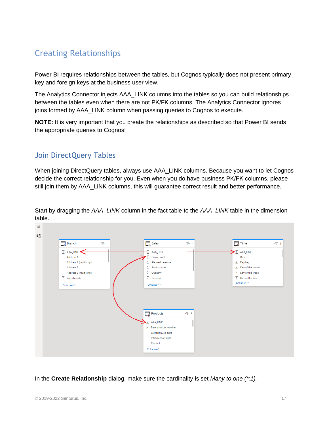## <span id="page-16-0"></span>Creating Relationships

Power BI requires relationships between the tables, but Cognos typically does not present primary key and foreign keys at the business user view.

The Analytics Connector injects AAA\_LINK columns into the tables so you can build relationships between the tables even when there are not PK/FK columns. The Analytics Connector ignores joins formed by AAA\_LINK column when passing queries to Cognos to execute.

**NOTE:** It is very important that you create the relationships as described so that Power BI sends the appropriate queries to Cognos!

## <span id="page-16-1"></span>Join DirectQuery Tables

When joining DirectQuery tables, always use AAA\_LINK columns. Because you want to let Cognos decide the correct relationship for you. Even when you do have business PK/FK columns, please still join them by AAA\_LINK columns, this will guarantee correct result and better performance.



Start by dragging the *AAA\_LINK* column in the fact table to the *AAA\_LINK* table in the dimension table.

In the **Create Relationship** dialog, make sure the cardinality is set *Many to one (\*:1).*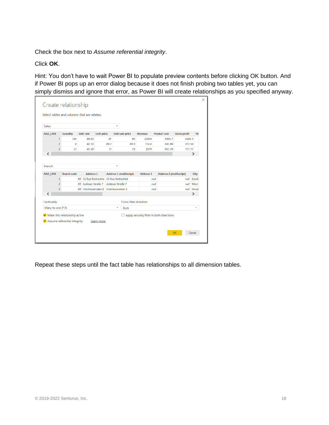Check the box next to *Assume referential integrity*.

### Click **OK**.

Hint: You don't have to wait Power BI to populate preview contents before clicking OK button. And if Power BI pops up an error dialog because it does not finish probing two tables yet, you can simply dismiss and ignore that error, as Power BI will create relationships as you specified anyway.

| <b>Gross profit</b><br>Pla<br>6504.3<br>372.56 |
|------------------------------------------------|
|                                                |
|                                                |
|                                                |
| 727.72                                         |
| ⋗                                              |
|                                                |
| City<br>Genèr                                  |
| Wien                                           |
| Hever                                          |
| ⋗                                              |
|                                                |
| ÷                                              |
|                                                |
| null<br>null<br>null                           |

Repeat these steps until the fact table has relationships to all dimension tables.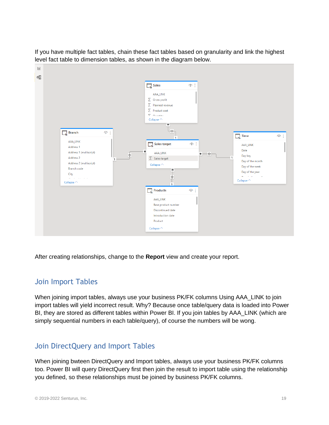If you have multiple fact tables, chain these fact tables based on granularity and link the highest level fact table to dimension tables, as shown in the diagram below.



After creating relationships, change to the **Report** view and create your report.

### <span id="page-18-0"></span>Join Import Tables

When joining import tables, always use your business PK/FK columns Using AAA\_LINK to join import tables will yield incorrect result. Why? Because once table/query data is loaded into Power BI, they are stored as different tables within Power BI. If you join tables by AAA\_LINK (which are simply sequential numbers in each table/query), of course the numbers will be wong.

## <span id="page-18-1"></span>Join DirectQuery and Import Tables

When joining bwteen DirectQuery and Import tables, always use your business PK/FK columns too. Power BI will query DirectQuery first then join the result to import table using the relationship you defined, so these relationships must be joined by business PK/FK columns.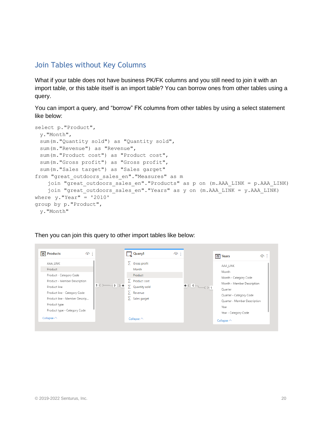### <span id="page-19-0"></span>Join Tables without Key Columns

What if your table does not have business PK/FK columns and you still need to join it with an import table, or this table itself is an import table? You can borrow ones from other tables using a query.

You can import a query, and "borrow" FK columns from other tables by using a select statement like below:

```
select p."Product", 
 y."Month", 
 sum(m."Quantity sold") as "Quantity sold",
 sum(m."Revenue") as "Revenue",
 sum(m."Product cost") as "Product cost", 
 sum(m."Gross profit") as "Gross profit", 
 sum(m."Sales target") as "Sales garget"
from "great outdoors sales en". "Measures" as m
    join "great outdoors sales en"."Products" as p on (m.AAA LINK = p.AAA LINK)
    join "great outdoors sales en"."Years" as y on (m.AAA LINK = y.AAA LINK)
where v."Year" = '2010'
group by p."Product", 
 y."Month"
```
Then you can join this query to other import tables like below:

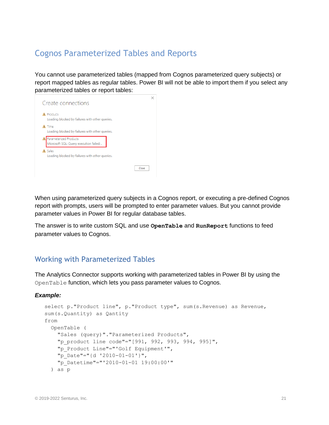## <span id="page-20-0"></span>Cognos Parameterized Tables and Reports

You cannot use parameterized tables (mapped from Cognos parameterized query subjects) or report mapped tables as regular tables. Power BI will not be able to import them if you select any parameterized tables or report tables:



When using parameterized query subjects in a Cognos report, or executing a pre-defined Cognos report with prompts, users will be prompted to enter parameter values. But you cannot provide parameter values in Power BI for regular database tables.

The answer is to write custom SQL and use **OpenTable** and **RunReport** functions to feed parameter values to Cognos.

## <span id="page-20-1"></span>Working with Parameterized Tables

The Analytics Connector supports working with parameterized tables in Power BI by using the OpenTable function, which lets you pass parameter values to Cognos.

#### *Example:*

```
select p."Product line", p."Product type", sum(s.Revenue) as Revenue, 
sum(s.Quantity) as Qantity 
from 
   OpenTable (
     "Sales (query)"."Parameterized Products",
    "p_product line code"="[991, 992, 993, 994, 995]",
     "p_Product Line"="'Golf Equipment'", 
     "p_Date"="{d '2010-01-01'}",
     "p_Datetime"="'2010-01-01 19:00:00'"
   ) as p
```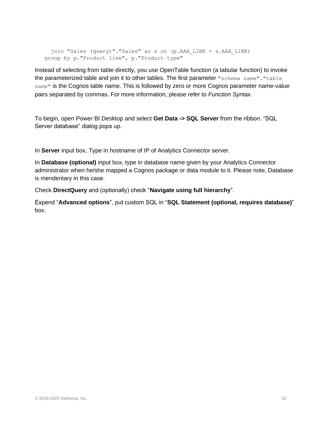```
 join "Sales (query)"."Sales" as s on (p.AAA_LINK = s.AAA_LINK)
group by p."Product line", p."Product type"
```
Instead of selecting from table directly, you use OpenTable function (a tabular function) to invoke the parameterized table and join it to other tables. The first parameter "schema name"."table name" is the Cognos table name. This is followed by zero or more Cognos parameter name-value pairs separated by commas. For more information, please refer to *[Function Syntax](#page-29-0)*.

To begin, open Power BI Desktop and select **Get Data -> SQL Server** from the ribbon. "SQL Server database" dialog pops up.

In **Server** input box, Type in hostname of IP of Analytics Connector server.

In **Database (optional)** input box, type in database name given by your Analytics Connector administrator when he/she mapped a Cognos package or data module to it. Please note, Database is mendentary in this case.

Check **DirectQuery** and (optionally) check "**Navigate using full hierarchy**".

Expend "**Advanced options**", put custom SQL in "**SQL Statement (optional, requires database)**" box.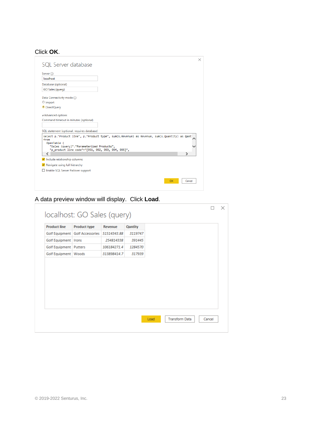### Click **OK**.

| SQL Server database                                                                                                                                  |                                                                                                |
|------------------------------------------------------------------------------------------------------------------------------------------------------|------------------------------------------------------------------------------------------------|
| Server (i)                                                                                                                                           |                                                                                                |
| localhost                                                                                                                                            |                                                                                                |
| Database (optional)                                                                                                                                  |                                                                                                |
| GO Sales (query)                                                                                                                                     |                                                                                                |
| Data Connectivity mode (i)                                                                                                                           |                                                                                                |
| O Import                                                                                                                                             |                                                                                                |
| O DirectQuery                                                                                                                                        |                                                                                                |
| ▲ Advanced options                                                                                                                                   |                                                                                                |
| Command timeout in minutes (optional)                                                                                                                |                                                                                                |
|                                                                                                                                                      |                                                                                                |
|                                                                                                                                                      |                                                                                                |
|                                                                                                                                                      |                                                                                                |
| from<br>OpenTable (<br>"Sales (query)". "Parameterized Products",<br>"p_product line code"="[991, 992, 993, 994, 995]",                              | select p."Product line", p."Product type", sum(s.Revenue) as Revenue, sum(s.Quantity) as Qant: |
| ∢                                                                                                                                                    | ⋗                                                                                              |
|                                                                                                                                                      |                                                                                                |
|                                                                                                                                                      |                                                                                                |
|                                                                                                                                                      |                                                                                                |
| SQL statement (optional, requires database)<br>Include relationship columns<br>√ Navigate using full hierarchy<br>Enable SQL Server Failover support |                                                                                                |

## A data preview window will display. Click **Load**.

|                          | localhost: GO Sales (query)       |                |                |  |  |
|--------------------------|-----------------------------------|----------------|----------------|--|--|
| <b>Product line</b>      | <b>Product type</b>               | <b>Revenue</b> | <b>Qantity</b> |  |  |
|                          | Golf Equipment   Golf Accessories | 51514343.88    | 3119747        |  |  |
| Golf Equipment   Irons   |                                   | 254814338      | 391445         |  |  |
| Golf Equipment   Putters |                                   | 106184271.4    | 1284570        |  |  |
| Golf Equipment   Woods   |                                   | 313898414.7    | 317939         |  |  |
|                          |                                   |                |                |  |  |
|                          |                                   |                |                |  |  |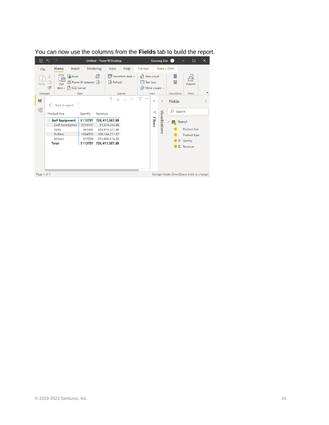<span id="page-23-0"></span>

You can now use the columns from the **Fields** tab to build the report.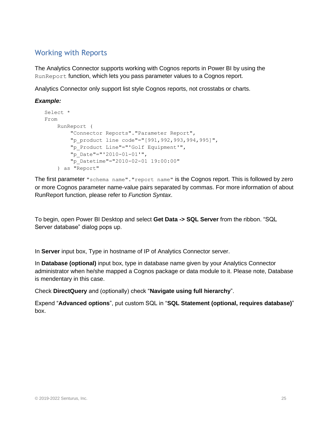## <span id="page-24-0"></span>Working with Reports

The Analytics Connector supports working with Cognos reports in Power BI by using the RunReport function, which lets you pass parameter values to a Cognos report.

Analytics Connector only support list style Cognos reports, not crosstabs or charts.

#### *Example:*

```
Select * 
From 
     RunReport (
         "Connector Reports"."Parameter Report",
         "p_product line code"="[991,992,993,994,995]",
         "p_Product Line"="'Golf Equipment'",
         "p_Date"="'2010-01-01'",
         "p_Datetime"="2010-02-01 19:00:00"
     ) as "Report"
```
The first parameter "schema name"."report name" is the Cognos report. This is followed by zero or more Cognos parameter name-value pairs separated by commas. For more information of about RunReport function, please refer to *[Function Syntax](#page-29-0)*.

To begin, open Power BI Desktop and select **Get Data -> SQL Server** from the ribbon. "SQL Server database" dialog pops up.

In **Server** input box, Type in hostname of IP of Analytics Connector server.

In **Database (optional)** input box, type in database name given by your Analytics Connector administrator when he/she mapped a Cognos package or data module to it. Please note, Database is mendentary in this case.

Check **DirectQuery** and (optionally) check "**Navigate using full hierarchy**".

Expend "**Advanced options**", put custom SQL in "**SQL Statement (optional, requires database)**" box.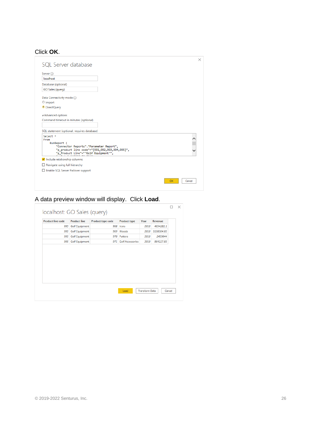### Click **OK**.

|                                                                                        | ×            |
|----------------------------------------------------------------------------------------|--------------|
| SQL Server database                                                                    |              |
| Server (i)                                                                             |              |
| localhost                                                                              |              |
| Database (optional)                                                                    |              |
| GO Sales (query)                                                                       |              |
| Data Connectivity mode (i)                                                             |              |
| O Import                                                                               |              |
| <sup>O</sup> DirectQuery                                                               |              |
| ▲ Advanced options                                                                     |              |
| Command timeout in minutes (optional)                                                  |              |
|                                                                                        |              |
| SQL statement (optional, requires database)                                            |              |
| Select *                                                                               | Λ            |
| From<br>RunReport (                                                                    |              |
| "Connector Reports". "Parameter Report",                                               |              |
| "p_product line code"="[991,992,993,994,995]",<br>"p_Product Line"="'Golf Equipment'", |              |
| Include relationship columns                                                           |              |
| $\Box$ Navigate using full hierarchy                                                   |              |
| Enable SQL Server Failover support                                                     |              |
|                                                                                        |              |
|                                                                                        | Cancel<br>ОΚ |
|                                                                                        |              |

## A data preview window will display. Click **Load**.

| <b>Golf Equipment</b><br>968<br>2010<br>4654281.1<br>995<br>Irons<br><b>Golf Equipment</b><br>2010<br>5138304.03<br>995<br>969<br>Woods<br><b>Golf Equipment</b><br>970<br>Putters<br>2010<br>2459044<br>995<br><b>Golf Equipment</b><br><b>Golf Accessories</b><br>995<br>971<br>2010<br>864227.83 | <b>Product line code</b> | <b>Product line</b> | Product type code | <b>Product type</b> | Year | Revenue |
|-----------------------------------------------------------------------------------------------------------------------------------------------------------------------------------------------------------------------------------------------------------------------------------------------------|--------------------------|---------------------|-------------------|---------------------|------|---------|
|                                                                                                                                                                                                                                                                                                     |                          |                     |                   |                     |      |         |
|                                                                                                                                                                                                                                                                                                     |                          |                     |                   |                     |      |         |
|                                                                                                                                                                                                                                                                                                     |                          |                     |                   |                     |      |         |
|                                                                                                                                                                                                                                                                                                     |                          |                     |                   |                     |      |         |
|                                                                                                                                                                                                                                                                                                     |                          |                     |                   |                     |      |         |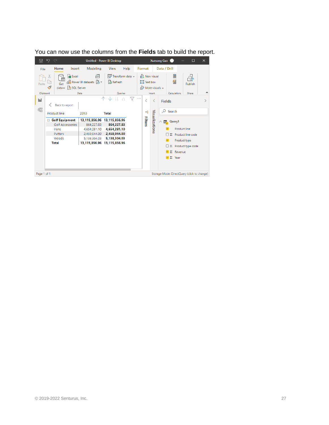

You can now use the columns from the **Fields** tab to build the report.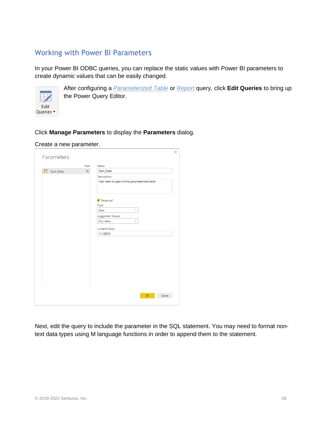## <span id="page-27-0"></span>Working with Power BI Parameters

In your Power BI ODBC queries, you can replace the static values with Power BI parameters to create dynamic values that can be easily changed.



After configuring a *[Parameterized Table](#page-20-0)* or *[Report](#page-23-0)* query, click **Edit Queries** to bring up the Power Query Editor.

#### Click **Manage Parameters** to display the **Parameters** dialog.

#### Create a new parameter.

| Parameters |            | $\times$                                      |
|------------|------------|-----------------------------------------------|
|            | <b>New</b> | Name                                          |
| Start_Date | $\times$   | Start_Date                                    |
|            |            | Description                                   |
|            |            | Start date to pass to the parameterized table |
|            |            | $\blacktriangleright$ Required                |
|            |            | Type                                          |
|            |            | Date<br>÷                                     |
|            |            | <b>Suggested Values</b>                       |
|            |            | Any value<br>÷                                |
|            |            | <b>Current Value</b>                          |
|            |            | 1/1/2010                                      |
|            |            |                                               |
|            |            | <b>OK</b><br>Cancel                           |

Next, edit the query to include the parameter in the SQL statement. You may need to format nontext data types using M language functions in order to append them to the statement.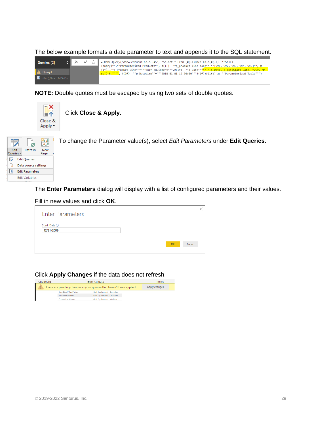| Queries [2]        |  | $f_X$ = Odbc.Query("dsn=Senturus Colo .45", "Select * From (#(1f)OpenTable(#(1f) ""Sales                                                                                                                       |
|--------------------|--|----------------------------------------------------------------------------------------------------------------------------------------------------------------------------------------------------------------|
|                    |  | (query)"".""Parameterized Products"", #(1f) ""p product line code""=""[991, 992, 993, 994, 995]"", #                                                                                                           |
| A Query1           |  | (1f) ""p_Product Line""=""'Golf Equipment'"",#(1f) ""p_Date""=""'" & Date.ToText(Start_Date, "yyyy-MM-<br>dd") & "'"", #(1f) ""p_Datetime""=""'2010-01-01 19:00:00'""#(1f))#(1f)) as ""Parameterized Table""") |
| Start_Date (12/1/2 |  |                                                                                                                                                                                                                |
|                    |  |                                                                                                                                                                                                                |

The below example formats a date parameter to text and appends it to the SQL statement.

**NOTE:** Double quotes must be escaped by using two sets of double quotes.



| ₹         | -8                     | 翘 |          | To change the Parameter value(s), select Edit Parameters under Edit Queries. |
|-----------|------------------------|---|----------|------------------------------------------------------------------------------|
| Edit      | Refresh                |   | New      |                                                                              |
| Queries * |                        |   | Page * V |                                                                              |
|           | <b>Edit Queries</b>    |   |          |                                                                              |
|           | Data source settings   |   |          |                                                                              |
| 厝         | <b>Edit Parameters</b> |   |          |                                                                              |
|           | <b>Edit Variables</b>  |   |          |                                                                              |
|           |                        |   |          |                                                                              |

The **Enter Parameters** dialog will display with a list of configured parameters and their values.

#### Fill in new values and click **OK**.

| <b>Enter Parameters</b>    |    |        |  |
|----------------------------|----|--------|--|
| Start_Date ①<br>12/31/2009 |    |        |  |
|                            | OK | Cancel |  |

Click **Apply Changes** if the data does not refresh.

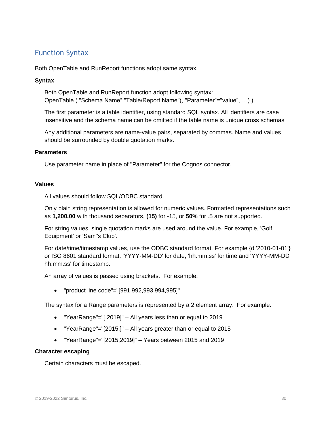## <span id="page-29-0"></span>Function Syntax

Both OpenTable and RunReport functions adopt same syntax.

#### **Syntax**

Both OpenTable and RunReport function adopt following syntax: OpenTable ( "Schema Name"."Table/Report Name"(, "Parameter"="value", …) )

The first parameter is a table identifier, using standard SQL syntax. All identifiers are case insensitive and the schema name can be omitted if the table name is unique cross schemas.

Any additional parameters are name-value pairs, separated by commas. Name and values should be surrounded by double quotation marks.

#### **Parameters**

Use parameter name in place of "Parameter" for the Cognos connector.

#### **Values**

All values should follow SQL/ODBC standard.

Only plain string representation is allowed for numeric values. Formatted representations such as **1,200.00** with thousand separators, **(15)** for -15, or **50%** for .5 are not supported.

For string values, single quotation marks are used around the value. For example, 'Golf Equipment' or 'Sam''s Club'.

For date/time/timestamp values, use the ODBC standard format. For example {d '2010-01-01'} or ISO 8601 standard format, 'YYYY-MM-DD' for date, 'hh:mm:ss' for time and 'YYYY-MM-DD hh:mm:ss' for timestamp.

An array of values is passed using brackets. For example:

• "product line code"="[991,992,993,994,995]"

The syntax for a Range parameters is represented by a 2 element array. For example:

- "YearRange"="[,2019]" All years less than or equal to 2019
- "YearRange"="[2015,]" All years greater than or equal to 2015
- "YearRange"="[2015,2019]" Years between 2015 and 2019

#### **Character escaping**

Certain characters must be escaped.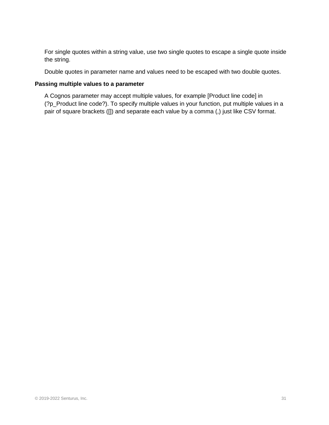For single quotes within a string value, use two single quotes to escape a single quote inside the string.

Double quotes in parameter name and values need to be escaped with two double quotes.

#### **Passing multiple values to a parameter**

A Cognos parameter may accept multiple values, for example [Product line code] in (?p\_Product line code?). To specify multiple values in your function, put multiple values in a pair of square brackets ([]) and separate each value by a comma (,) just like CSV format.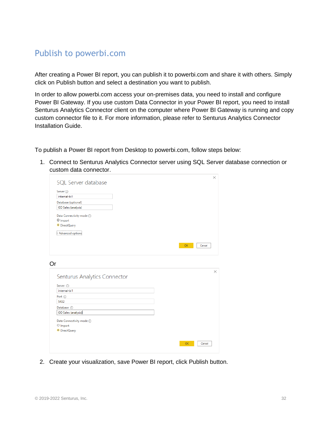## <span id="page-31-0"></span>Publish to powerbi.com

After creating a Power BI report, you can publish it to powerbi.com and share it with others. Simply click on Publish button and select a destination you want to publish.

In order to allow powerbi.com access your on-premises data, you need to install and configure Power BI Gateway. If you use custom Data Connector in your Power BI report, you need to install Senturus Analytics Connector client on the computer where Power BI Gateway is running and copy custom connector file to it. For more information, please refer to Senturus Analytics Connector Installation Guide.

To publish a Power BI report from Desktop to powerbi.com, follow steps below:

1. Connect to Senturus Analytics Connector server using SQL Server database connection or custom data connector.

|    | SQL Server database          | ×        |
|----|------------------------------|----------|
|    |                              |          |
|    | Server (i)                   |          |
|    | internal-bi1                 |          |
|    | Database (optional)          |          |
|    | GO Sales (analysis)          |          |
|    | Data Connectivity mode (i)   |          |
|    | O Import                     |          |
|    | <sup>O</sup> DirectQuery     |          |
|    | <br>Advanced options         |          |
|    |                              |          |
|    | OK<br>Cancel                 |          |
|    |                              |          |
|    |                              |          |
| Or |                              |          |
|    |                              | $\times$ |
|    | Senturus Analytics Connector |          |
|    |                              |          |
|    | Server (i)                   |          |
|    | internal-bi1                 |          |
|    | Port ①                       |          |
|    | 5432                         |          |
|    | Database (i)                 |          |
|    | GO Sales (analysis)          |          |
|    | Data Connectivity mode 1     |          |
|    | O Import                     |          |
|    | <sup>O</sup> DirectQuery     |          |
|    |                              |          |
|    |                              |          |
|    | OK<br>Cancel                 |          |
|    |                              |          |

2. Create your visualization, save Power BI report, click Publish button.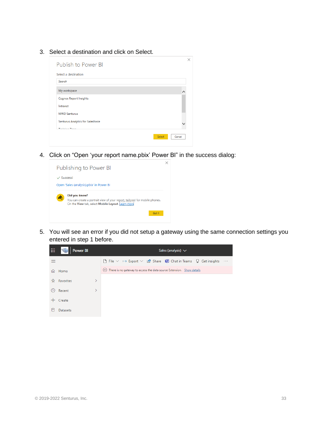3. Select a destination and click on Select.

| Publish to Power BI               | ×                |
|-----------------------------------|------------------|
| Select a destination              |                  |
| Search                            |                  |
| My workspace                      |                  |
| <b>Cognos Report Insights</b>     |                  |
| Intranet                          |                  |
| <b>MWD Senturus</b>               |                  |
| Senturus Analytics for Salesforce |                  |
| Technique Teach                   |                  |
|                                   | Select<br>Cancel |

4. Click on "Open 'your report name.pbix' Power BI" in the success dialog:



5. You will see an error if you did not setup a gateway using the same connection settings you entered in step 1 before.

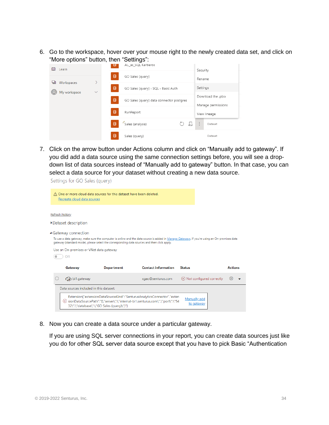6. Go to the workspace, hover over your mouse right to the newly created data set, and click on "More options" button, then "Settings":

| ▥<br>Learn                       |              | -- - - - -<br>ਚ | -----------<br>AC_as_SQL Kerberos        |                      | Security                                 |         |
|----------------------------------|--------------|-----------------|------------------------------------------|----------------------|------------------------------------------|---------|
|                                  | ⋟            | 目               | GO Sales (query)                         |                      | Rename                                   |         |
| Workspaces<br>ھا<br>My workspace | $\checkmark$ | 目               | GO Sales (query) - SQL - Basic Auth      |                      | Settings                                 |         |
|                                  |              | 目               | GO Sales (query) data connector postgres |                      | Download the .pbix<br>Manage permissions |         |
|                                  |              | 目               | RunReport                                |                      | View lineage                             |         |
|                                  |              | 目               | Sales (analysis)                         | $\frac{1}{\sqrt{2}}$ | $\mathbf{r}$<br>÷                        | Dataset |
|                                  |              | 目               | Sales (query)                            |                      |                                          | Dataset |

7. Click on the arrow button under Actions column and click on "Manually add to gateway". If you did add a data source using the same connection settings before, you will see a dropdown list of data sources instead of "Manually add to gateway" button. In that case, you can select a data source for your dataset without creating a new data source.

Settings for GO Sales (query)

|                 | Recreate cloud data sources                                                                    | A One or more cloud data sources for this dataset have been deleted. |                                                                                             |                                                                                                                                              |                |
|-----------------|------------------------------------------------------------------------------------------------|----------------------------------------------------------------------|---------------------------------------------------------------------------------------------|----------------------------------------------------------------------------------------------------------------------------------------------|----------------|
| Refresh history |                                                                                                |                                                                      |                                                                                             |                                                                                                                                              |                |
|                 | ▶Dataset description<br>▲ Gateway connection<br>Use an On-premises or VNet data gateway<br>Off |                                                                      | gateway (standard mode), please select the corresponding data sources and then click apply. | To use a data gateway, make sure the computer is online and the data source is added in Manage Gateways. If you're using an On-premises data |                |
|                 | Gateway                                                                                        | <b>Department</b>                                                    | <b>Contact information</b>                                                                  | <b>Status</b>                                                                                                                                | <b>Actions</b> |
|                 | bi1.gateway                                                                                    |                                                                      | xgao@senturus.com                                                                           | $(\%)$ Not configured correctly                                                                                                              | 803            |
|                 | Data sources included in this dataset:                                                         |                                                                      |                                                                                             |                                                                                                                                              |                |
|                 |                                                                                                |                                                                      |                                                                                             |                                                                                                                                              |                |

8. Now you can create a data source under a particular gateway.

If you are using SQL server connections in your report, you can create data sources just like you do for other SQL server data source except that you have to pick Basic "Authentication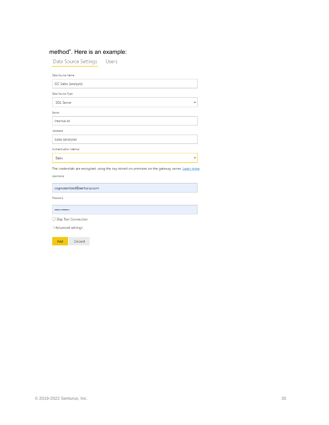### method". Here is an example:

Data Source Settings Users

| Data Source Name      |              |
|-----------------------|--------------|
| GO Sales (analysis)   |              |
| Data Source Type      |              |
| <b>SQL Server</b>     | $\checkmark$ |
| Server                |              |
| internal-bi           |              |
| Database              |              |
| Sales (analysis)      |              |
| Authentication Method |              |
| Basic                 |              |

The credentials are encrypted using the key stored on-premises on the gateway server. Learn more Username

cognosembed@senturus.com

Password

 $............$ 

 $\Box$  Skip Test Connection

 $\mathord{>}$  Advanced settings

Add Discard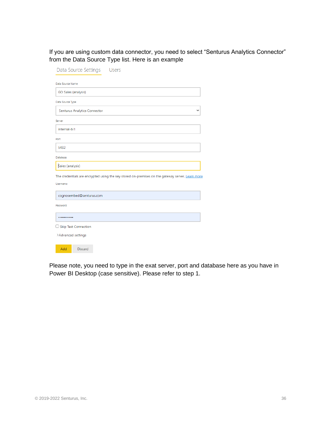If you are using custom data connector, you need to select "Senturus Analytics Connector" from the Data Source Type list. Here is an example

| Data Source Settings<br>Users                                                                    |
|--------------------------------------------------------------------------------------------------|
| Data Source Name                                                                                 |
| GO Sales (analysis)                                                                              |
| Data Source Type                                                                                 |
| <b>Senturus Analytics Connector</b>                                                              |
| Server                                                                                           |
| internal-bi1                                                                                     |
| Port                                                                                             |
| 5432                                                                                             |
| Database                                                                                         |
| Sales (analysis)                                                                                 |
| The credentials are encrypted using the key stored on-premises on the gateway server. Learn more |
| Username                                                                                         |
| cognosembed@senturus.com                                                                         |
| Password                                                                                         |
|                                                                                                  |
| □ Skip Test Connection                                                                           |
| >Advanced settings                                                                               |
| Add<br><b>Discard</b>                                                                            |

Please note, you need to type in the exat server, port and database here as you have in Power BI Desktop (case sensitive). Please refer to step 1.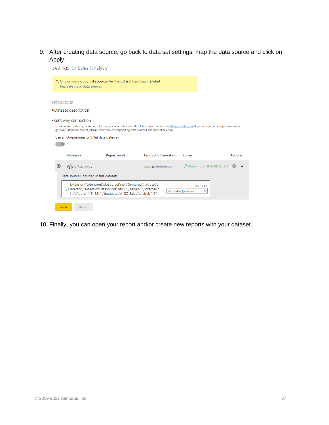9. After creating data source, go back to data set settings, map the data source and click on Apply.<br>Settings for Sales (applysis)

|                                                                                                                                                                | Settings for Sales (analysis)                                                                                                                                                              |                                                                                                                                              |                                      |                |
|----------------------------------------------------------------------------------------------------------------------------------------------------------------|--------------------------------------------------------------------------------------------------------------------------------------------------------------------------------------------|----------------------------------------------------------------------------------------------------------------------------------------------|--------------------------------------|----------------|
| A One or more cloud data sources for this dataset have been deleted.<br>Recreate cloud data sources                                                            |                                                                                                                                                                                            |                                                                                                                                              |                                      |                |
| Refresh history                                                                                                                                                |                                                                                                                                                                                            |                                                                                                                                              |                                      |                |
| ▶Dataset description                                                                                                                                           |                                                                                                                                                                                            |                                                                                                                                              |                                      |                |
| ▲ Gateway connection<br>gateway (standard mode), please select the corresponding data sources and then click apply.<br>Use an On-premises or VNet data gateway |                                                                                                                                                                                            | To use a data gateway, make sure the computer is online and the data source is added in Manage Gateways. If you're using an On-premises data |                                      |                |
| On                                                                                                                                                             |                                                                                                                                                                                            |                                                                                                                                              |                                      |                |
| Gateway                                                                                                                                                        | <b>Department</b>                                                                                                                                                                          | <b>Contact information</b>                                                                                                                   | <b>Status</b>                        | <b>Actions</b> |
| bi1.gateway<br>$\odot$                                                                                                                                         |                                                                                                                                                                                            | xgao@senturus.com                                                                                                                            | ◯ Running on INTERNAL-BI1            | <u> ΣΟ3</u>    |
| Data sources included in this dataset:                                                                                                                         |                                                                                                                                                                                            |                                                                                                                                              |                                      |                |
| $(\checkmark)$                                                                                                                                                 | Extension{"extensionDataSourceKind":"SenturusAnalyticsCo<br>nnector","extensionDataSourcePath":"{\"server\":\"internal-b<br>i1\",\"port\":\"5432\",\"database\":\"GO Sales (analysis)\"}"} |                                                                                                                                              | Maps to:<br>GO Sales (analysis)<br>v |                |

10. Finally, you can open your report and/or create new reports with your dataset.